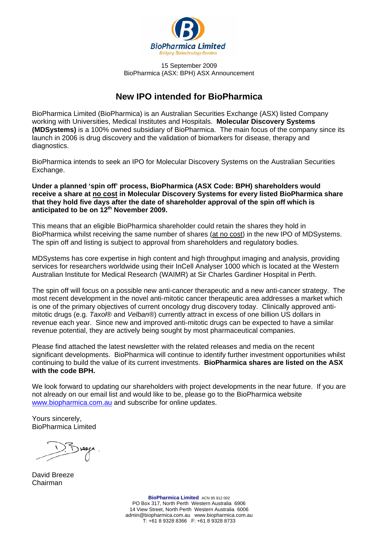

15 September 2009 BioPharmica (ASX: BPH) ASX Announcement

# **New IPO intended for BioPharmica**

BioPharmica Limited (BioPharmica) is an Australian Securities Exchange (ASX) listed Company working with Universities, Medical Institutes and Hospitals. **Molecular Discovery Systems (MDSystems)** is a 100% owned subsidiary of BioPharmica. The main focus of the company since its launch in 2006 is drug discovery and the validation of biomarkers for disease, therapy and diagnostics.

BioPharmica intends to seek an IPO for Molecular Discovery Systems on the Australian Securities Exchange.

**Under a planned 'spin off' process, BioPharmica (ASX Code: BPH) shareholders would receive a share at no cost in Molecular Discovery Systems for every listed BioPharmica share that they hold five days after the date of shareholder approval of the spin off which is anticipated to be on 12th November 2009.** 

This means that an eligible BioPharmica shareholder could retain the shares they hold in BioPharmica whilst receiving the same number of shares (at no cost) in the new IPO of MDSystems. The spin off and listing is subject to approval from shareholders and regulatory bodies.

MDSystems has core expertise in high content and high throughput imaging and analysis, providing services for researchers worldwide using their InCell Analyser 1000 which is located at the Western Australian Institute for Medical Research (WAIMR) at Sir Charles Gardiner Hospital in Perth.

The spin off will focus on a possible new anti-cancer therapeutic and a new anti-cancer strategy. The most recent development in the novel anti-mitotic cancer therapeutic area addresses a market which is one of the primary objectives of current oncology drug discovery today. Clinically approved antimitotic drugs (e.g. *Taxol*® and *Velban*®) currently attract in excess of one billion US dollars in revenue each year. Since new and improved anti-mitotic drugs can be expected to have a similar revenue potential, they are actively being sought by most pharmaceutical companies.

Please find attached the latest newsletter with the related releases and media on the recent significant developments. BioPharmica will continue to identify further investment opportunities whilst continuing to build the value of its current investments. **BioPharmica shares are listed on the ASX with the code BPH.**

We look forward to updating our shareholders with project developments in the near future. If you are not already on our email list and would like to be, please go to the BioPharmica website [www.biopharmica.com.au](http://www.biopharmica.com.au/) and subscribe for online updates.

Yours sincerely, BioPharmica Limited

David Breeze Chairman

**BioPharmica Limited** ACN 95 912 002 PO Box 317, North Perth Western Australia 6906 14 View Street, North Perth Western Australia 6006 admin@biopharmica.com.au www.biopharmica.com.au T: +61 8 9328 8366 F: +61 8 9328 8733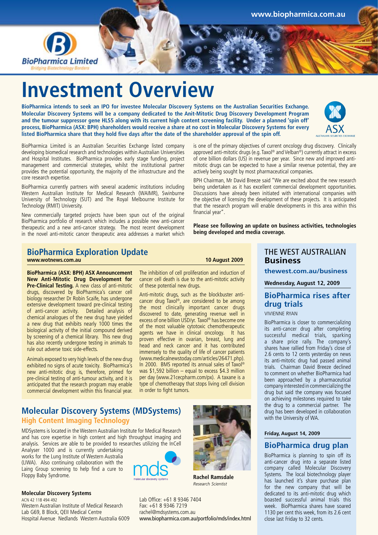

# **Investment Overview**

**BioPharmica intends to seek an IPO for investee Molecular Discovery Systems on the Australian Securities Exchange. Molecular Discovery Systems will be a company dedicated to the Anit-Mitotic Drug Discovery Development Program and the tumour suppressor gene HLS5 along with its current high content screening facility. Under a planned 'spin off' process, BioPharmica (ASX: BPH) shareholders would receive a share at no cost in Molecular Discovery Systems for every listed BioPharmica share that they hold five days after the date of the shareholder approval of the spin off.**



BioPharmica currently partners with several academic institutions including Western Australian Institute for Medical Research (WAIMR), Swinburne University of Technology (SUT) and The Royal Melbourne Institute for Technology (RMIT) University.

New commercially targeted projects have been spun out of the original BioPharmica portfolio of research which includes a possible new anti-cancer therapeutic and a new anti-cancer strategy. The most recent development in the novel anti-mitotic cancer therapeutic area addresses a market which

#### **BioPharmica Exploration Update www.wotnews.com.au 10 August 2009**

**BioPharmica (ASX: BPH) ASX Announcement New Anti-Mitotic Drug Development for Pre-Clinical Testing.** A new class of anti-mitotic drugs, discovered by BioPharmica's cancer cell biology researcher Dr Robin Scaife, has undergone extensive development toward pre-clinical testing of anti-cancer activity. Detailed analysis of chemical analogues of the new drug have yielded a new drug that exhibits nearly 1000 times the biological activity of the initial compound derived by screening of a chemical library. This new drug has also recently undergone testing in animals to rule out adverse toxic side-effects.

Animals exposed to very high levels of the new drug exhibited no signs of acute toxicity. BioPharmica's new anti-mitotic drug is, therefore, primed for pre-clinical testing of anti-tumour activity, and it is anticipated that the research program may enable commercial development within this financial year.

The inhibition of cell proliferation and induction of cancer cell death is due to the anti-mitotic activity of these potential new drugs.

Anti-mitotic drugs, such as the blockbuster anticancer drug Taxol®, are considered to be among the most clinically important cancer drugs discovered to date, generating revenue well in excess of one billion USD/yr. Taxol® has become one of the most valuable cytotoxic chemotherapeutic agents we have in clinical oncology. It has proven effective in ovarian, breast, lung and head and neck cancer and it has contributed immensely to the quality of life of cancer patients (www.medicalnewstoday.com/articles/26471.php). In 2000. BMS reported its annual sales of Taxol® was \$1,592 billion – equal to excess \$4.3 million per day (www.21cecpharm.com/px). A taxane is a type of chemotherapy that stops living cell division in order to fight tumors.

# **Molecular Discovery Systems (MDSystems) High Content Imaging Technology**

#### MDSystems is located in the Western Australian Institute for Medical Research and has core expertise in high content and high throughput imaging and analysis. Services are able to be provided to researches utilizing the InCell

Analyser 1000 and is currently undertaking works for the Lung Institute of Western Australia (LIWA). Also continuing collaboration with the Laing Group screening to help find a cure to Floppy Baby Syndrome.

#### **Molecular Discovery Systems**

ACN 42 118 494 492 Western Australian Institute of Medical Research Lab G69, B Block, QEII Medical Centre Hospital Avenue Nedlands Western Australia 6009



**Rachel Ramsdale** *Research Scientist*

Lab Office: +61 8 9346 7404 Fax: +61 8 9346 7219 rachel@mdsystems.com.au www.biopharmica.com.au/portfolio/mds/index.html

is one of the primary objectives of current oncology drug discovery. Clinically approved anti-mitotic drugs (e.g. Taxol® and Velban®) currently attract in excess of one billion dollars (US) in revenue per year. Since new and improved antimitotic drugs can be expected to have a similar revenue potential, they are actively being sought by most pharmaceutical companies.

BPH Chairman, Mr David Breeze said "We are excited about the new research being undertaken as it has excellent commercial development opportunities. Discussions have already been initiated with international companies with the objective of licensing the development of these projects. It is anticipated that the research program will enable developments in this area within this financial year".

**Please see following an update on business activities, technologies being developed and media coverage.**

### THE WEST AUSTRALIAN **Business**

**thewest.com.au/business**

**Wednesday, August 12, 2009**

# **BioPharmica rises after drug trials**

#### VIVIENNE RYAN

BioPharmica is closer to commercializing its anti-cancer drug after completing successful medical trials, sparking a share price rally. The company's shares have rallied from Friday's close of 2.6 cents to 12 cents yesterday on news its anti-mitotic drug had passed animal trials. Chairman David Breeze declined to comment on whether BioPharmica had been approached by a pharmaceutical company interested in commercializing the drug but said the company was focused on achieving milestones required to take the drug to a commercial partner. The drug has been developed in collaboration with the University of WA.

#### **Friday, August 14, 2009**

### **BioPharmica drug plan**

BioPharmica is planning to spin off its anti-cancer drug into a separate listed company called Molecular Discovery Systems. The local biotechnology player has launched it's share purchase plan for the new company that will be dedicated to its anti-mitotic drug which boasted successful animal trials this week. BioPharmica shares have soared 1130 per cent this week, from its 2.6 cent close last Friday to 32 cents.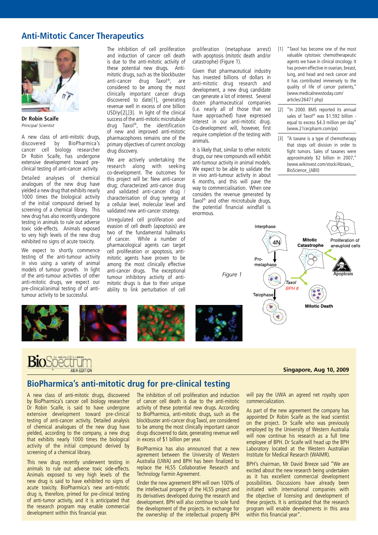# **Anti-Mitotic Cancer Therapeutics**



**Dr Robin Scaife** *Principal Scientist*

A new class of anti-mitotic drugs, discovered by BioPharmica's cancer cell biology researcher Dr Robin Scaife, has undergone extensive development toward preclinical testing of anti-cancer activity.

Detailed analyses of chemical analogues of the new drug have yielded a new drug that exhibits nearly 1000 times the biological activity of the initial compound derived by screening of a chemical library. This new drug has also recently undergone testing in animals to rule out adverse toxic side-effects. Animals exposed to very high levels of the new drug exhibited no signs of acute toxicity.

We expect to shortly commence testing of the anti-tumour activity in vivo using a variety of animal models of tumour growth. In light of the anti-tumour activities of other anti-mitotic drugs, we expect our pre-clinical/animal testing of of antitumour activity to be successful.

The inhibition of cell proliferation and induction of cancer cell death is due to the anti-mitotic activity of these potential new drugs. Antimitotic drugs, such as the blockbuster anti-cancer drug Taxol®, are considered to be among the most clinically important cancer drugs discovered to date[1], generating revenue well in excess of one billion USD/yr[2],[3]. In light of the clinical success of the anti-mitotic microtubule drug Taxol®, the identification of new and improved anti-mitotic pharmacophores remains one of the primary objectives of current oncology drug discovery.

proliferation (metaphase arrest) with apoptosis (mitotic death and/or

Given that pharmaceutical industry has invested billions of dollars in anti-mitotic drug research and development, a new drug candidate can generate a lot of interest. Several dozen pharmaceutical companies (i.e. nearly all of those that we have approached) have expressed interest in our anti-mitotic drug. Co-development will, however, first require completion of the testing with

It is likely that, similar to other mitotic drugs, our new compounds will exhibit anti-tumour activity in animal models. We expect to be able to validate the in vivo anti-tumour activity in about 6 months, and this will pave the way to commercialisation. When one considers the revenue generated by Taxol<sup>®</sup> and other microtubule drugs, the potential financial windfall is

catastrophe) (Figure 1).

animals.

**enormous** 

We are actively undertaking the research along with seeking co-development. The outcomes for this project will be: New anti-cancer drug; characterized anti-cancer drug and validated anti-cancer drug / characterisation of drug synergy at a cellular level, molecular level and validated new anti-cancer strategy.

Unregulated cell proliferation and evasion of cell death (apoptosis) are two of the fundamental hallmarks of cancer. While a number of pharmacological agents can target cell proliferation or apoptosis, antimitotic agents have proven to be among the most clinically effective anti-cancer drugs. The exceptional tumour inhibitory activity of antimitotic drugs is due to their unique ability to link perturbation of cell



#### **Singapore, Aug 10, 2009**

## **BioPharmica's anti-mitotic drug for pre-clinical testing**

A new class of anti-mitotic drugs, discovered by BioPharmica's cancer cell biology researcher Dr Robin Scaife, is said to have undergone extensive development toward pre-clinical testing of anti-cancer activity. Detailed analysis of chemical analogues of the new drug have yielded, according to the company, a new drug that exhibits nearly 1000 times the biological activity of the initial compound derived by screening of a chemical library.

This new drug recently underwent testing in animals to rule out adverse toxic side-effects. Animals exposed to very high levels of the new drug is said to have exhibited no signs of acute toxicity. BioPharmica's new anti-mitotic drug is, therefore, primed for pre-clinical testing of anti-tumor activity, and it is anticipated that the research program may enable commercial development within this financial year.

The inhibition of cell proliferation and induction of cancer cell death is due to the anti-mitotic activity of these potential new drugs. According to BioPharmica, anti-mitotic drugs, such as the blockbuster anti-cancer drug Taxol, are considered to be among the most clinically important cancer drugs discovered to date, generating revenue well in excess of \$1 billion per year.

BioPharmica has also announced that a new agreement between the University of Western Australia (UWA) and BPH has been finalized to replace the HLS5 Collaborative Research and Technology Farmin Agreement.

Under the new agreement BPH will own 100% of the intellectual property of the HLS5 project and its derivatives developed during the research and development. BPH will also continue to sole fund the development of the projects. In exchange for the ownership of the intellectual property BPH

will pay the UWA an agreed net royalty upon commercialization.

As part of the new agreement the company has appointed Dr Robin Scaife as the lead scientist on the project. Dr Scaife who was previously employed by the University of Western Australia will now continue his research as a full time employee of BPH. Dr Scaife will head up the BPH Laboratory located at the Western Australian Institute for Medical Research (WAIMR).

BPH's chairman, Mr David Breeze said "We are excited about the new research being undertaken as it has excellent commercial development possibilities. Discussions have already been initiated with international companies with the objective of licensing and development of these projects. It is anticipated that the research program will enable developments in this area within this financial year".

[1] "Taxol has become one of the most valuable cytotoxic chemotherapeutic agents we have in clinical oncology. It has proven effective in ovarian, breast, lung, and head and neck cancer and it has contributed immensely to the quality of life of cancer patients," (www.medicalnewstoday.com/ articles/26471.php) [2] "In 2000. BMS reported its annual sales of Taxol® was \$1.592 billion -

- equal to excess \$4.3 million per day" (www.21cecpharm.com/px) [3] "A taxane is a type of chemotherapy
- that stops cell division in order to fight tumors. Sales of taxanes were approximately \$2 billion in 2007," (www.wikinvest.com/stock/Abraxis\_ BioScience\_(ABII)

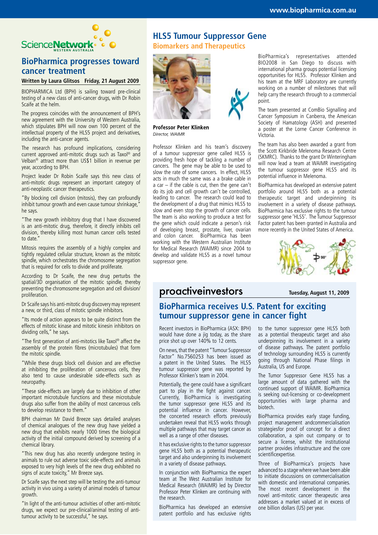

# **BioPharmica progresses toward cancer treatment**

#### **Written by Laura Glitsos Friday, 21 August 2009**

BIOPHARMICA Ltd (BPH) is sailing toward pre-clinical testing of a new class of anti-cancer drugs, with Dr Robin Scaife at the helm.

The progress coincides with the announcement of BPH's new agreement with the University of Western Australia, which stipulates BPH will now own 100 percent of the intellectual property of the HLS5 project and derivatives, including the anti-cancer agents.

The research has profound implications, considering current approved anti-mitotic drugs such as Taxol® and Velban® attract more than US\$1 billion in revenue per year, according to BPH.

Project leader Dr Robin Scaife says this new class of anti-mitotic drugs represent an important category of anti-neoplastic cancer therapeutics.

"By blocking cell division (mitosis), they can profoundly inhibit tumour growth and even cause tumour shrinkage," he says.

"The new growth inhibitory drug that I have discovered is an anti-mitotic drug, therefore, it directly inhibits cell division, thereby killing most human cancer cells tested to date.

Mitosis requires the assembly of a highly complex and tightly regulated cellular structure, known as the mitotic spindle, which orchestrates the chromosome segregation that is required for cells to divide and proliferate.

According to Dr Scaife, the new drug perturbs the spatial/3D organisation of the mitotic spindle, thereby preventing the chromosome segregation and cell division/ proliferation.

Dr Scaife says his anti-mitotic drug discovery may represent a new, or third, class of mitotic spindle inhibitors.

"Its mode of action appears to be quite distinct from the effects of mitotic kinase and mitotic kinesin inhibitors on dividing cells," he says.

"The first generation of anti-mitotics like Taxol® affect the assembly of the protein fibres (microtubules) that form the mitotic spindle.

"While these drugs block cell division and are effective at inhibiting the proliferation of cancerous cells, they also tend to cause undesirable side-effects such as neuropathy.

"These side-effects are largely due to inhibition of other important microtubule functions and these microtubule drugs also suffer from the ability of most cancerous cells to develop resistance to them."

BPH chairman Mr David Breeze says detailed analyses of chemical analogues of the new drug have yielded a new drug that exhibits nearly 1000 times the biological activity of the initial compound derived by screening of a chemical library.

"This new drug has also recently undergone testing in animals to rule out adverse toxic side-effects and animals exposed to very high levels of the new drug exhibited no signs of acute toxicity," Mr Breeze says.

Dr Scaife says the next step will be testing the anti-tumour activity in vivo using a variety of animal models of tumour growth.

"In light of the anti-tumour activities of other anti-mitotic drugs, we expect our pre-clinical/animal testing of antitumour activity to be successful," he says.

# **HLS5 Tumour Suppressor Gene Biomarkers and Therapeutics**



Professor Peter Klinken Director, WAIMR

Professor Klinken and his team's discovery of a tumour suppressor gene called HLS5 is providing fresh hope of tackling a number of cancers. The gene may be able to be used to slow the rate of some cancers. In effect, HLS5 acts in much the same was a a brake cable in a car  $-$  if the cable is cut, then the gene can't do its job and cell growth can't be controlled, leading to cancer. The research could lead to the development of a drug that mimics HLS5 to slow and even stop the growth of cancer cells. The team is also working to produce a test for the gene which could indicate a person's risk of developing breast, prostate, liver, ovarian and colon cancer. BioPharmica has been working with the Western Australian Institute for Medical Research (WAIMR) since 2004 to develop and validate HLS5 as a novel tumour suppressor gene.

BioPharmica's representatives attended BIO2008 in San Diego to discuss with international pharma groups potential licensing opportunities for HLS5. Professor Klinken and his team at the MRF Laboratory are currently working on a number of milestones that will help carry the research through to a commercial point.

The team presented at ComBio Signalling and Cancer Symposium in Canberra, the American Society of Hamatology (ASH) and presented a poster at the Lorne Cancer Conference in Victoria.

The team has also been awarded a grant from the Scott Kirkbride Melenoma Research Centre (SKMRC). Thanks to the grant Dr Winteringham will now lead a team at WAIMR investigating the tumour suppressor gene HLS5 and its potential influence in Melenoma.

BioPharmica has developed an extensive patent portfolio around HLS5 both as a potential therapeutic target and underpinning its involvement in a variety of disease pathways. BioPharmica has exclusive rights to the tumour suppressor gene 'HLS5'. The Tumour Suppressor Factor patent has been granted in Australia and more recently in the United States of America.



# proactiveinvestors **Tuesday, August 11, 2009**

# **BioPharmica receives U.S. Patent for exciting tumour suppressor gene in cancer fight**

Recent investors in BioPharmica (ASX: BPH) would have done a jig today, as the share price shot up over 140% to 12 cents.

On news, that the patent "Tumour Suppressor Factor" No.7560253 has been issued as a patent in the United States. The HLS5 tumour suppressor gene was reported by Professor Klinken's team in 2004.

Potentially, the gene could have a significant part to play in the fight against cancer. Currently, BioPharmica is investigating the tumor suppressor gene HLS5 and its potential influence in cancer. However, the concerted research efforts previously undertaken reveal that HLS5 works through multiple pathways that may target cancer as well as a range of other diseases.

It has exclusive rights to the tumor suppressor gene HLS5 both as a potential therapeutic target and also underpinning its involvement in a variety of disease pathways.

In conjunction with BioPharmica the expert team at The West Australian Institute for Medical Research (WAIMR) led by Director Professor Peter Klinken are continuing with the research.

BioPharmica has developed an extensive patent portfolio and has exclusive rights to the tumor suppressor gene HLS5 both as a potential therapeutic target and also underpinning its involvement in a variety of disease pathways. The patent portfolio of technology surrounding HLS5 is currently going through National Phase filings in Australia, US and Europe.

The Tumor Suppressor Gene HLS5 has a large amount of data gathered with the continued support of WAIMR. BioPharmica is seeking out-licensing or co-development opportunities with large pharma and biotech.

BioPharmica provides early stage funding, project management andcommercialisation strategiesfor proof of concept for a direct collaboration, a spin out company or to secure a license, whilst the institutional partner provides infrastructure and the core scientificexpertise.

Three of BioPharmica's projects have advanced to a stage where we have been able to initiate discussions on commercialisation with domestic and international companies. The most recent development in the novel anti-mitotic cancer therapeutic area addresses a market valued at in excess of one billion dollars (US) per year.